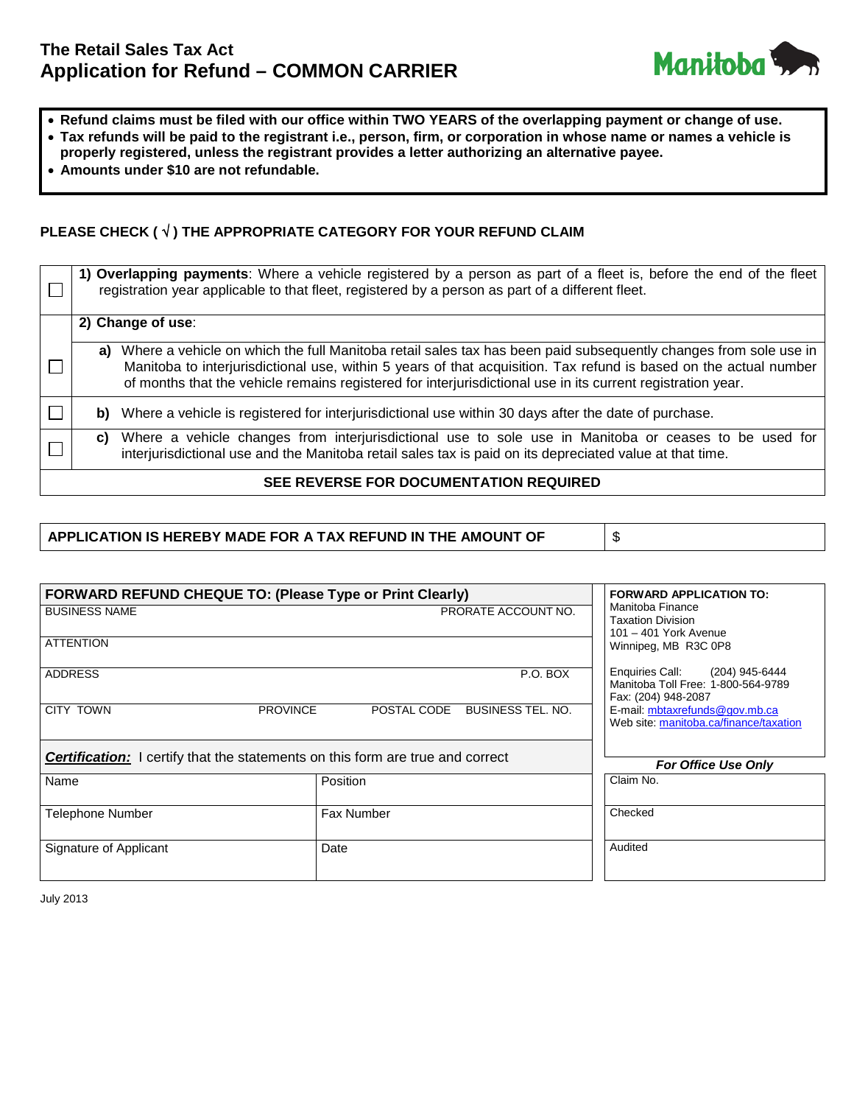# **The Retail Sales Tax Act Application for Refund – COMMON CARRIER**



- **Refund claims must be filed with our office within TWO YEARS of the overlapping payment or change of use.**
- **Tax refunds will be paid to the registrant i.e., person, firm, or corporation in whose name or names a vehicle is properly registered, unless the registrant provides a letter authorizing an alternative payee.**
- **Amounts under \$10 are not refundable.**

## **PLEASE CHECK (** √ **) THE APPROPRIATE CATEGORY FOR YOUR REFUND CLAIM**

|                                        | 1) Overlapping payments: Where a vehicle registered by a person as part of a fleet is, before the end of the fleet<br>registration year applicable to that fleet, registered by a person as part of a different fleet.                                                                                                                                    |  |  |
|----------------------------------------|-----------------------------------------------------------------------------------------------------------------------------------------------------------------------------------------------------------------------------------------------------------------------------------------------------------------------------------------------------------|--|--|
|                                        | 2) Change of use:                                                                                                                                                                                                                                                                                                                                         |  |  |
|                                        | Where a vehicle on which the full Manitoba retail sales tax has been paid subsequently changes from sole use in<br>a)<br>Manitoba to interjurisdictional use, within 5 years of that acquisition. Tax refund is based on the actual number<br>of months that the vehicle remains registered for interjurisdictional use in its current registration year. |  |  |
|                                        | b) Where a vehicle is registered for interjurisdictional use within 30 days after the date of purchase.                                                                                                                                                                                                                                                   |  |  |
|                                        | c) Where a vehicle changes from interjurisdictional use to sole use in Manitoba or ceases to be used for<br>interjurisdictional use and the Manitoba retail sales tax is paid on its depreciated value at that time.                                                                                                                                      |  |  |
| SEE REVERSE FOR DOCUMENTATION REQUIRED |                                                                                                                                                                                                                                                                                                                                                           |  |  |

## **APPLICATION IS HEREBY MADE FOR A TAX REFUND IN THE AMOUNT OF** \$

| <b>FORWARD REFUND CHEQUE TO: (Please Type or Print Clearly)</b>                       | <b>FORWARD APPLICATION TO:</b> |                                                                                             |
|---------------------------------------------------------------------------------------|--------------------------------|---------------------------------------------------------------------------------------------|
| <b>BUSINESS NAME</b>                                                                  | PRORATE ACCOUNT NO.            | Manitoba Finance<br><b>Taxation Division</b><br>101 - 401 York Avenue                       |
| <b>ATTENTION</b>                                                                      | Winnipeg, MB R3C 0P8           |                                                                                             |
| <b>ADDRESS</b>                                                                        | P.O. BOX                       | Enquiries Call: (204) 945-6444<br>Manitoba Toll Free: 1-800-564-9789<br>Fax: (204) 948-2087 |
| <b>CITY TOWN</b><br><b>PROVINCE</b>                                                   | POSTAL CODE BUSINESS TEL. NO.  | E-mail: mbtaxrefunds@gov.mb.ca<br>Web site: manitoba.ca/finance/taxation                    |
| <b>Certification:</b> I certify that the statements on this form are true and correct | <b>For Office Use Only</b>     |                                                                                             |
| Name                                                                                  | Position                       | Claim No.                                                                                   |
| Telephone Number                                                                      | <b>Fax Number</b>              | Checked                                                                                     |
| Signature of Applicant                                                                | Date                           | Audited                                                                                     |

July 2013